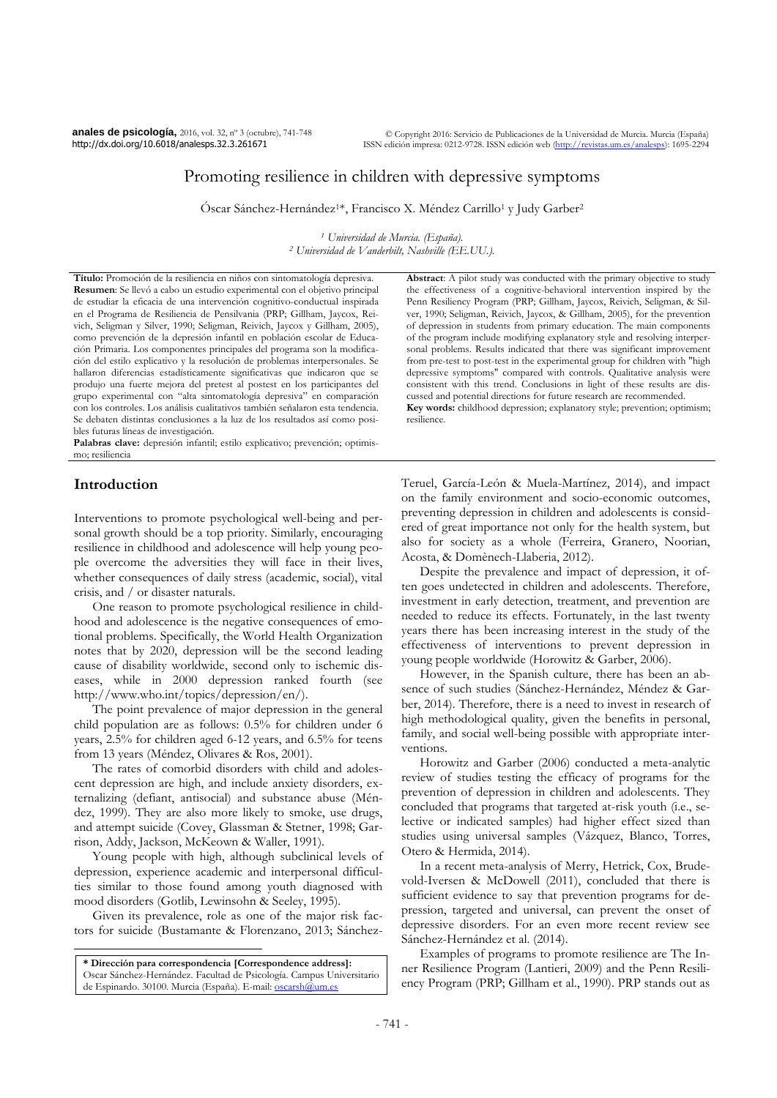**anales de psicología,** 2016, vol. 32, nº 3 (octubre), 741-748 http://dx.doi.org/10.6018/analesps.32.3.261671

© Copyright 2016: Servicio de Publicaciones de la Universidad de Murcia. Murcia (España) ISSN edición impresa: 0212-9728. ISSN edición web (http://revistas.um.es/analesps): 1695-2294

# Promoting resilience in children with depressive symptoms

Óscar Sánchez-Hernández<sup>1\*</sup>, Francisco X. Méndez Carrillo<sup>1</sup> y Judy Garber<sup>2</sup>

*<sup>1</sup> Universidad de Murcia. (España). <sup>2</sup> Universidad de Vanderbilt, Nashville (EE.UU.).*

**Título:** Promoción de la resiliencia en niños con sintomatología depresiva. **Resumen**: Se llevó a cabo un estudio experimental con el objetivo principal de estudiar la eficacia de una intervención cognitivo-conductual inspirada en el Programa de Resiliencia de Pensilvania (PRP; Gillham, Jaycox, Reivich, Seligman y Silver, 1990; Seligman, Reivich, Jaycox y Gillham, 2005), como prevención de la depresión infantil en población escolar de Educación Primaria. Los componentes principales del programa son la modificación del estilo explicativo y la resolución de problemas interpersonales. Se hallaron diferencias estadísticamente significativas que indicaron que se produjo una fuerte mejora del pretest al postest en los participantes del grupo experimental con "alta sintomatología depresiva" en comparación con los controles. Los análisis cualitativos también señalaron esta tendencia. Se debaten distintas conclusiones a la luz de los resultados así como posibles futuras líneas de investigación.

**Palabras clave:** depresión infantil; estilo explicativo; prevención; optimismo; resiliencia

# **Introduction**

 $\overline{a}$ 

Interventions to promote psychological well-being and personal growth should be a top priority. Similarly, encouraging resilience in childhood and adolescence will help young people overcome the adversities they will face in their lives, whether consequences of daily stress (academic, social), vital crisis, and / or disaster naturals.

One reason to promote psychological resilience in childhood and adolescence is the negative consequences of emotional problems. Specifically, the World Health Organization notes that by 2020, depression will be the second leading cause of disability worldwide, second only to ischemic diseases, while in 2000 depression ranked fourth (see http://www.who.int/topics/depression/en/).

The point prevalence of major depression in the general child population are as follows: 0.5% for children under 6 years, 2.5% for children aged 6-12 years, and 6.5% for teens from 13 years (Méndez, Olivares & Ros, 2001).

The rates of comorbid disorders with child and adolescent depression are high, and include anxiety disorders, externalizing (defiant, antisocial) and substance abuse (Méndez, 1999). They are also more likely to smoke, use drugs, and attempt suicide (Covey, Glassman & Stetner, 1998; Garrison, Addy, Jackson, McKeown & Waller, 1991).

Young people with high, although subclinical levels of depression, experience academic and interpersonal difficulties similar to those found among youth diagnosed with mood disorders (Gotlib, Lewinsohn & Seeley, 1995).

Given its prevalence, role as one of the major risk factors for suicide (Bustamante & Florenzano, 2013; Sánchez**Abstract**: A pilot study was conducted with the primary objective to study the effectiveness of a cognitive-behavioral intervention inspired by the Penn Resiliency Program (PRP; Gillham, Jaycox, Reivich, Seligman, & Silver, 1990; Seligman, Reivich, Jaycox, & Gillham, 2005), for the prevention of depression in students from primary education. The main components of the program include modifying explanatory style and resolving interpersonal problems. Results indicated that there was significant improvement from pre-test to post-test in the experimental group for children with "high depressive symptoms" compared with controls. Qualitative analysis were consistent with this trend. Conclusions in light of these results are discussed and potential directions for future research are recommended. **Key words:** childhood depression; explanatory style; prevention; optimism; resilience.

Teruel, García-León & Muela-Martínez, 2014), and impact on the family environment and socio-economic outcomes, preventing depression in children and adolescents is considered of great importance not only for the health system, but also for society as a whole (Ferreira, Granero, Noorian, Acosta, & Domènech-Llaberia, 2012).

Despite the prevalence and impact of depression, it often goes undetected in children and adolescents. Therefore, investment in early detection, treatment, and prevention are needed to reduce its effects. Fortunately, in the last twenty years there has been increasing interest in the study of the effectiveness of interventions to prevent depression in young people worldwide (Horowitz & Garber, 2006).

However, in the Spanish culture, there has been an absence of such studies (Sánchez-Hernández, Méndez & Garber, 2014). Therefore, there is a need to invest in research of high methodological quality, given the benefits in personal, family, and social well-being possible with appropriate interventions.

Horowitz and Garber (2006) conducted a meta-analytic review of studies testing the efficacy of programs for the prevention of depression in children and adolescents. They concluded that programs that targeted at-risk youth (i.e., selective or indicated samples) had higher effect sized than studies using universal samples (Vázquez, Blanco, Torres, Otero & Hermida, 2014).

In a recent meta-analysis of Merry, Hetrick, Cox, Brudevold-Iversen & McDowell (2011), concluded that there is sufficient evidence to say that prevention programs for depression, targeted and universal, can prevent the onset of depressive disorders. For an even more recent review see Sánchez-Hernández et al. (2014).

Examples of programs to promote resilience are The Inner Resilience Program (Lantieri, 2009) and the Penn Resiliency Program (PRP; Gillham et al., 1990). PRP stands out as

**<sup>\*</sup> Dirección para correspondencia [Correspondence address]:** Oscar Sánchez-Hernández. Facultad de Psicología. Campus Universitario de Espinardo. 30100. Murcia (España). E-mail[: oscarsh@um.es](mailto:oscarsh@um.es)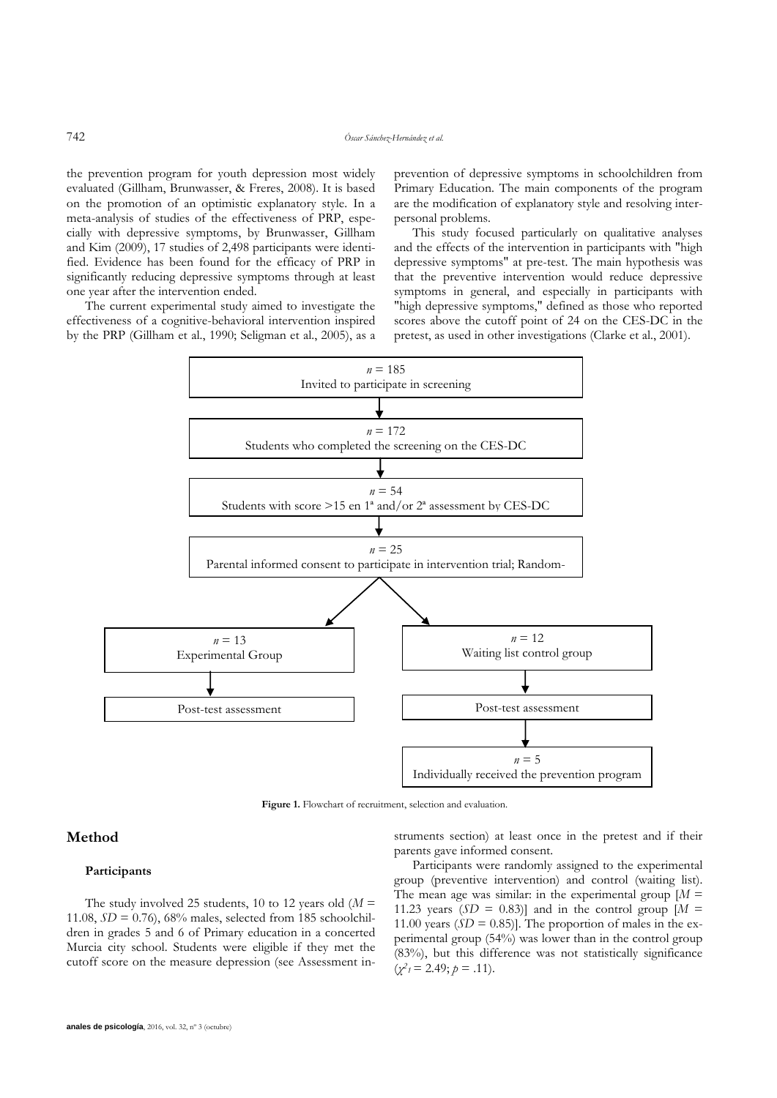the prevention program for youth depression most widely evaluated (Gillham, Brunwasser, & Freres, 2008). It is based on the promotion of an optimistic explanatory style. In a meta-analysis of studies of the effectiveness of PRP, especially with depressive symptoms, by Brunwasser, Gillham and Kim (2009), 17 studies of 2,498 participants were identified. Evidence has been found for the efficacy of PRP in significantly reducing depressive symptoms through at least one year after the intervention ended.

The current experimental study aimed to investigate the effectiveness of a cognitive-behavioral intervention inspired by the PRP (Gillham et al., 1990; Seligman et al., 2005), as a prevention of depressive symptoms in schoolchildren from Primary Education. The main components of the program are the modification of explanatory style and resolving interpersonal problems.

This study focused particularly on qualitative analyses and the effects of the intervention in participants with "high depressive symptoms" at pre-test. The main hypothesis was that the preventive intervention would reduce depressive symptoms in general, and especially in participants with "high depressive symptoms," defined as those who reported scores above the cutoff point of 24 on the CES-DC in the pretest, as used in other investigations (Clarke et al., 2001).



Figure 1. Flowchart of recruitment, selection and evaluation.

## **Method**

#### **Participants**

The study involved 25 students, 10 to 12 years old  $(M =$ 11.08, *SD* = 0.76), 68% males, selected from 185 schoolchildren in grades 5 and 6 of Primary education in a concerted Murcia city school. Students were eligible if they met the cutoff score on the measure depression (see Assessment instruments section) at least once in the pretest and if their parents gave informed consent.

Participants were randomly assigned to the experimental group (preventive intervention) and control (waiting list). The mean age was similar: in the experimental group  $[M =$ 11.23 years  $(SD = 0.83)$ ] and in the control group  $[M = 11.23]$ 11.00 years  $(SD = 0.85)$ ]. The proportion of males in the experimental group (54%) was lower than in the control group (83%), but this difference was not statistically significance  $(\chi^2_1 = 2.49; \ p = .11).$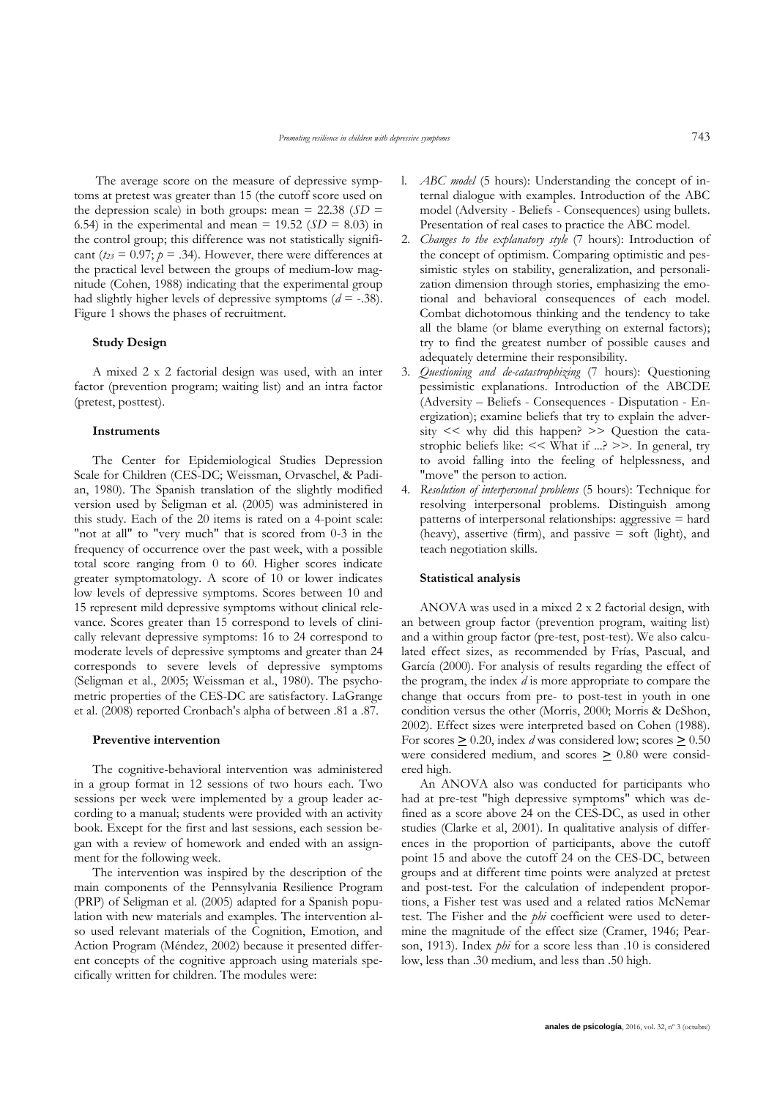The average score on the measure of depressive symptoms at pretest was greater than 15 (the cutoff score used on the depression scale) in both groups: mean  $= 22.38$  (*SD*  $=$ 6.54) in the experimental and mean =  $19.52$  ( $SD = 8.03$ ) in the control group; this difference was not statistically significant  $(t_{23} = 0.97; p = .34)$ . However, there were differences at the practical level between the groups of medium-low magnitude (Cohen, 1988) indicating that the experimental group had slightly higher levels of depressive symptoms  $(d = -38)$ . Figure 1 shows the phases of recruitment.

#### **Study Design**

A mixed 2 x 2 factorial design was used, with an inter factor (prevention program; waiting list) and an intra factor (pretest, posttest).

#### **Instruments**

The Center for Epidemiological Studies Depression Scale for Children (CES-DC; Weissman, Orvaschel, & Padian, 1980). The Spanish translation of the slightly modified version used by Seligman et al. (2005) was administered in this study. Each of the 20 items is rated on a 4-point scale: "not at all" to "very much" that is scored from 0-3 in the frequency of occurrence over the past week, with a possible total score ranging from 0 to 60. Higher scores indicate greater symptomatology. A score of 10 or lower indicates low levels of depressive symptoms. Scores between 10 and 15 represent mild depressive symptoms without clinical relevance. Scores greater than 15 correspond to levels of clinically relevant depressive symptoms: 16 to 24 correspond to moderate levels of depressive symptoms and greater than 24 corresponds to severe levels of depressive symptoms (Seligman et al., 2005; Weissman et al., 1980). The psychometric properties of the CES-DC are satisfactory. LaGrange et al. (2008) reported Cronbach's alpha of between .81 a .87.

#### **Preventive intervention**

The cognitive-behavioral intervention was administered in a group format in 12 sessions of two hours each. Two sessions per week were implemented by a group leader according to a manual; students were provided with an activity book. Except for the first and last sessions, each session began with a review of homework and ended with an assignment for the following week.

The intervention was inspired by the description of the main components of the Pennsylvania Resilience Program (PRP) of Seligman et al. (2005) adapted for a Spanish population with new materials and examples. The intervention also used relevant materials of the Cognition, Emotion, and Action Program (Méndez, 2002) because it presented different concepts of the cognitive approach using materials specifically written for children. The modules were:

- l. *ABC model* (5 hours): Understanding the concept of internal dialogue with examples. Introduction of the ABC model (Adversity - Beliefs - Consequences) using bullets. Presentation of real cases to practice the ABC model.
- 2. *Changes to the explanatory style* (7 hours): Introduction of the concept of optimism. Comparing optimistic and pessimistic styles on stability, generalization, and personalization dimension through stories, emphasizing the emotional and behavioral consequences of each model. Combat dichotomous thinking and the tendency to take all the blame (or blame everything on external factors); try to find the greatest number of possible causes and adequately determine their responsibility.
- 3. *Questioning and de-catastrophizing* (7 hours): Questioning pessimistic explanations. Introduction of the ABCDE (Adversity – Beliefs - Consequences - Disputation - Energization); examine beliefs that try to explain the adversity  $<<$  why did this happen?  $>>$  Question the catastrophic beliefs like: << What if ...? >>. In general, try to avoid falling into the feeling of helplessness, and "move" the person to action.
- 4. *Resolution of interpersonal problems* (5 hours): Technique for resolving interpersonal problems. Distinguish among patterns of interpersonal relationships: aggressive = hard (heavy), assertive (firm), and passive = soft (light), and teach negotiation skills.

#### **Statistical analysis**

ANOVA was used in a mixed 2 x 2 factorial design, with an between group factor (prevention program, waiting list) and a within group factor (pre-test, post-test). We also calculated effect sizes, as recommended by Frías, Pascual, and García (2000). For analysis of results regarding the effect of the program, the index *d* is more appropriate to compare the change that occurs from pre- to post-test in youth in one condition versus the other (Morris, 2000; Morris & DeShon, 2002). Effect sizes were interpreted based on Cohen (1988). For scores  $\geq 0.20$ , index *d* was considered low; scores  $\geq 0.50$ were considered medium, and scores **>** 0.80 were considered high.

An ANOVA also was conducted for participants who had at pre-test "high depressive symptoms" which was defined as a score above 24 on the CES-DC, as used in other studies (Clarke et al, 2001). In qualitative analysis of differences in the proportion of participants, above the cutoff point 15 and above the cutoff 24 on the CES-DC, between groups and at different time points were analyzed at pretest and post-test. For the calculation of independent proportions, a Fisher test was used and a related ratios McNemar test. The Fisher and the *phi* coefficient were used to determine the magnitude of the effect size (Cramer, 1946; Pearson, 1913). Index *phi* for a score less than .10 is considered low, less than .30 medium, and less than .50 high.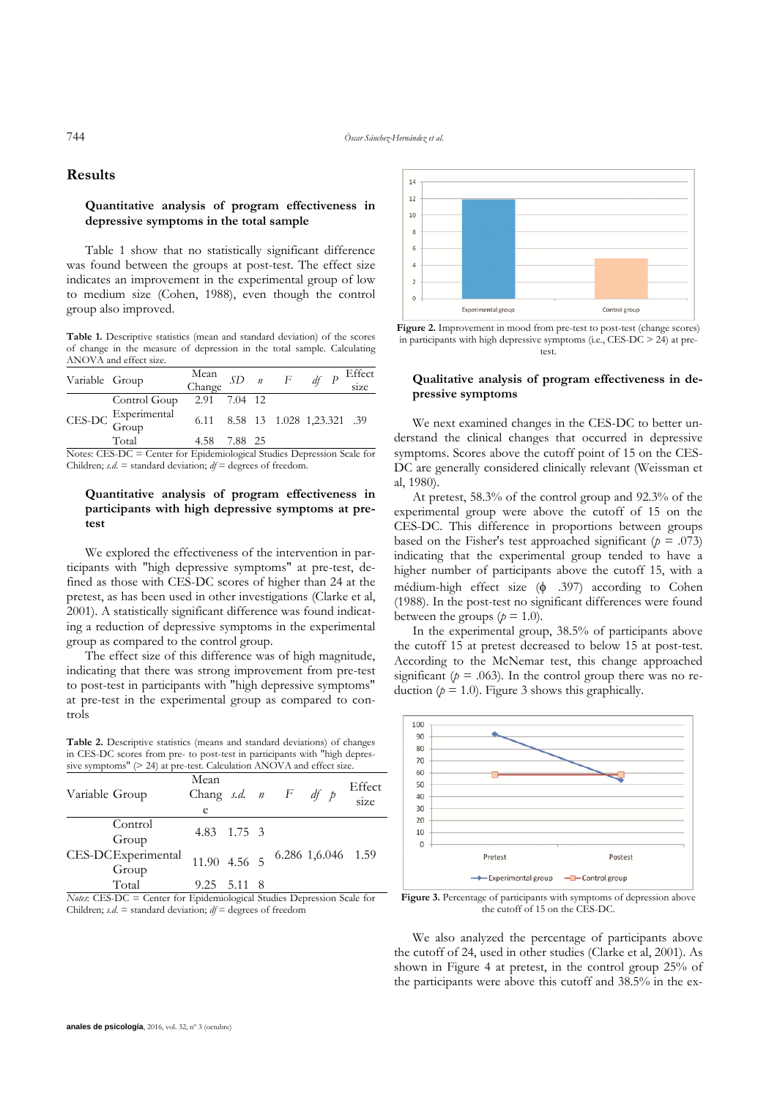# **Results**

### **Quantitative analysis of program effectiveness in depressive symptoms in the total sample**

Table 1 show that no statistically significant difference was found between the groups at post-test. The effect size indicates an improvement in the experimental group of low to medium size (Cohen, 1988), even though the control group also improved.

Table 1. Descriptive statistics (mean and standard deviation) of the scores of change in the measure of depression in the total sample. Calculating ANOVA and effect size.

| Variable Group |                     | Mean<br>Change $SD$ <i>n</i> $F$ <i>df</i> $P$ |  |                                 | Effect<br>size |
|----------------|---------------------|------------------------------------------------|--|---------------------------------|----------------|
|                | Control Goup        | 2.91 7.04 12                                   |  |                                 |                |
|                | CES-DC Experimental |                                                |  | 6.11 8.58 13 1.028 1.23.321 .39 |                |
|                | Total               | 4.58 7.88 25                                   |  |                                 |                |

Notes: CES-DC = Center for Epidemiological Studies Depression Scale for Children;  $s.d. =$  standard deviation;  $df =$  degrees of freedom.

### **Quantitative analysis of program effectiveness in participants with high depressive symptoms at pretest**

We explored the effectiveness of the intervention in participants with "high depressive symptoms" at pre-test, defined as those with CES-DC scores of higher than 24 at the pretest, as has been used in other investigations (Clarke et al, 2001). A statistically significant difference was found indicating a reduction of depressive symptoms in the experimental group as compared to the control group.

The effect size of this difference was of high magnitude, indicating that there was strong improvement from pre-test to post-test in participants with "high depressive symptoms" at pre-test in the experimental group as compared to controls

**Table 2.** Descriptive statistics (means and standard deviations) of changes in CES-DC scores from pre- to post-test in participants with "high depres-<br>size are argumeters"  $(2.24)$  at are test. Coloridation ANOVA and offert size  $C$ alculation  $\overline{ANOVA}$  and effect

| это зушрализ<br>$\sim$ 2–77 at Dic-test. Calculation Tirve vix and check size. |                                      |  |        |                    |                      |
|--------------------------------------------------------------------------------|--------------------------------------|--|--------|--------------------|----------------------|
| Variable Group                                                                 | Mean<br>Chang s.d. $n$ F df $p$<br>e |  |        |                    | Effect<br>size       |
| Control<br>Group                                                               | 4.83 1.75 3                          |  |        |                    | $\sim$ $\sim$ $\sim$ |
| CES-DCExperimental<br>Group                                                    | 11.90 4.56 5                         |  | $\sim$ | 6.286 1,6.046 1.59 |                      |
| Total<br>$\mathbf{A}$ $\mathbf{F}$                                             | $9.25$ $5.11$ 8                      |  |        |                    |                      |

*Notes*: CES-DC = Center for Epidemiological Studies Depression Scale for Children; *s.d*. = standard deviation; *df* = degrees of freedom



Figure 2. Improvement in mood from pre-test to post-test (change scores) in participants with high depressive symptoms (i.e., CES-DC > 24) at pretest.

#### **Qualitative analysis of program effectiveness in depressive symptoms**

We next examined changes in the CES-DC to better understand the clinical changes that occurred in depressive symptoms. Scores above the cutoff point of 15 on the CES-DC are generally considered clinically relevant (Weissman et al, 1980).

At pretest, 58.3% of the control group and 92.3% of the experimental group were above the cutoff of 15 on the CES-DC. This difference in proportions between groups based on the Fisher's test approached significant ( $p = .073$ ) indicating that the experimental group tended to have a higher number of participants above the cutoff 15, with a médium-high effect size  $(\phi$  .397) according to Cohen (1988). In the post-test no significant differences were found between the groups ( $p = 1.0$ ).

In the experimental group, 38.5% of participants above the cutoff 15 at pretest decreased to below 15 at post-test. According to the McNemar test, this change approached significant ( $p = .063$ ). In the control group there was no reduction ( $p = 1.0$ ). Figure 3 shows this graphically.



Figure 3. Percentage of participants with symptoms of depression above the cutoff of 15 on the CES-DC.

We also analyzed the percentage of participants above the cutoff of 24, used in other studies (Clarke et al, 2001). As shown in Figure 4 at pretest, in the control group 25% of the participants were above this cutoff and 38.5% in the ex-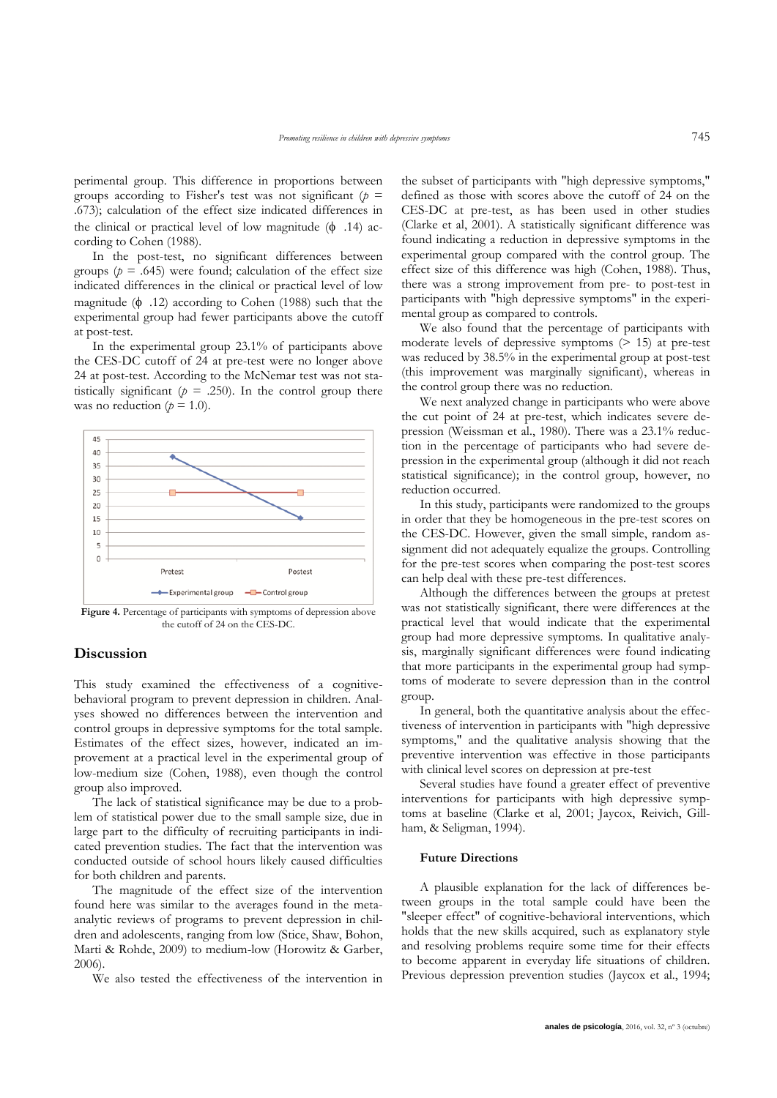perimental group. This difference in proportions between groups according to Fisher's test was not significant ( $p =$ .673); calculation of the effect size indicated differences in the clinical or practical level of low magnitude  $(\phi$  .14) according to Cohen (1988).

In the post-test, no significant differences between groups ( $p = .645$ ) were found; calculation of the effect size indicated differences in the clinical or practical level of low magnitude ( $\phi$  .12) according to Cohen (1988) such that the experimental group had fewer participants above the cutoff at post-test.

In the experimental group 23.1% of participants above the CES-DC cutoff of 24 at pre-test were no longer above 24 at post-test. According to the McNemar test was not statistically significant ( $p = .250$ ). In the control group there was no reduction ( $p = 1.0$ ).



**Figure 4.** Percentage of participants with symptoms of depression above the cutoff of 24 on the CES-DC.

# **Discussion**

This study examined the effectiveness of a cognitivebehavioral program to prevent depression in children. Analyses showed no differences between the intervention and control groups in depressive symptoms for the total sample. Estimates of the effect sizes, however, indicated an improvement at a practical level in the experimental group of low-medium size (Cohen, 1988), even though the control group also improved.

The lack of statistical significance may be due to a problem of statistical power due to the small sample size, due in large part to the difficulty of recruiting participants in indicated prevention studies. The fact that the intervention was conducted outside of school hours likely caused difficulties for both children and parents.

The magnitude of the effect size of the intervention found here was similar to the averages found in the metaanalytic reviews of programs to prevent depression in children and adolescents, ranging from low (Stice, Shaw, Bohon, Marti & Rohde, 2009) to medium-low (Horowitz & Garber, 2006).

We also tested the effectiveness of the intervention in

the subset of participants with "high depressive symptoms," defined as those with scores above the cutoff of 24 on the CES-DC at pre-test, as has been used in other studies (Clarke et al, 2001). A statistically significant difference was found indicating a reduction in depressive symptoms in the experimental group compared with the control group. The effect size of this difference was high (Cohen, 1988). Thus, there was a strong improvement from pre- to post-test in participants with "high depressive symptoms" in the experimental group as compared to controls.

We also found that the percentage of participants with moderate levels of depressive symptoms (> 15) at pre-test was reduced by 38.5% in the experimental group at post-test (this improvement was marginally significant), whereas in the control group there was no reduction.

We next analyzed change in participants who were above the cut point of 24 at pre-test, which indicates severe depression (Weissman et al., 1980). There was a 23.1% reduction in the percentage of participants who had severe depression in the experimental group (although it did not reach statistical significance); in the control group, however, no reduction occurred.

In this study, participants were randomized to the groups in order that they be homogeneous in the pre-test scores on the CES-DC. However, given the small simple, random assignment did not adequately equalize the groups. Controlling for the pre-test scores when comparing the post-test scores can help deal with these pre-test differences.

Although the differences between the groups at pretest was not statistically significant, there were differences at the practical level that would indicate that the experimental group had more depressive symptoms. In qualitative analysis, marginally significant differences were found indicating that more participants in the experimental group had symptoms of moderate to severe depression than in the control group.

In general, both the quantitative analysis about the effectiveness of intervention in participants with "high depressive symptoms," and the qualitative analysis showing that the preventive intervention was effective in those participants with clinical level scores on depression at pre-test

Several studies have found a greater effect of preventive interventions for participants with high depressive symptoms at baseline (Clarke et al, 2001; Jaycox, Reivich, Gillham, & Seligman, 1994).

#### **Future Directions**

A plausible explanation for the lack of differences between groups in the total sample could have been the "sleeper effect" of cognitive-behavioral interventions, which holds that the new skills acquired, such as explanatory style and resolving problems require some time for their effects to become apparent in everyday life situations of children. Previous depression prevention studies (Jaycox et al., 1994;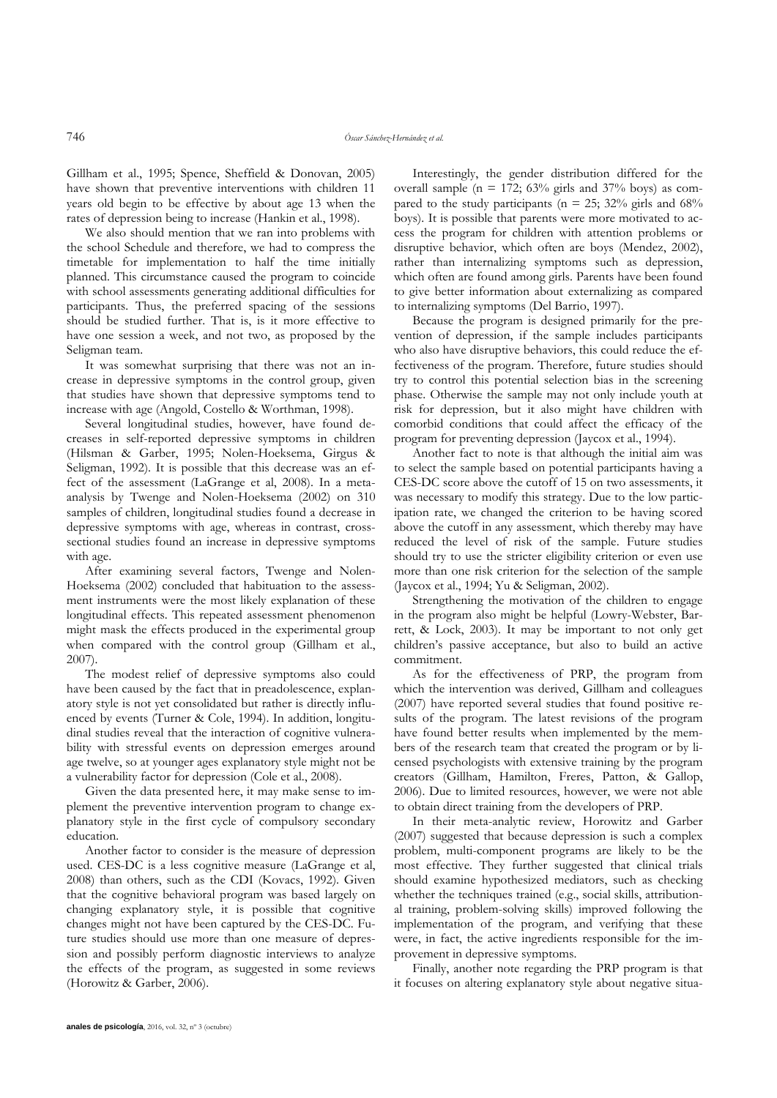Gillham et al., 1995; Spence, Sheffield & Donovan, 2005) have shown that preventive interventions with children 11 years old begin to be effective by about age 13 when the rates of depression being to increase (Hankin et al., 1998).

We also should mention that we ran into problems with the school Schedule and therefore, we had to compress the timetable for implementation to half the time initially planned. This circumstance caused the program to coincide with school assessments generating additional difficulties for participants. Thus, the preferred spacing of the sessions should be studied further. That is, is it more effective to have one session a week, and not two, as proposed by the Seligman team.

It was somewhat surprising that there was not an increase in depressive symptoms in the control group, given that studies have shown that depressive symptoms tend to increase with age (Angold, Costello & Worthman, 1998).

Several longitudinal studies, however, have found decreases in self-reported depressive symptoms in children (Hilsman & Garber, 1995; Nolen-Hoeksema, Girgus & Seligman, 1992). It is possible that this decrease was an effect of the assessment (LaGrange et al, 2008). In a metaanalysis by Twenge and Nolen-Hoeksema (2002) on 310 samples of children, longitudinal studies found a decrease in depressive symptoms with age, whereas in contrast, crosssectional studies found an increase in depressive symptoms with age.

After examining several factors, Twenge and Nolen-Hoeksema (2002) concluded that habituation to the assessment instruments were the most likely explanation of these longitudinal effects. This repeated assessment phenomenon might mask the effects produced in the experimental group when compared with the control group (Gillham et al., 2007).

The modest relief of depressive symptoms also could have been caused by the fact that in preadolescence, explanatory style is not yet consolidated but rather is directly influenced by events (Turner & Cole, 1994). In addition, longitudinal studies reveal that the interaction of cognitive vulnerability with stressful events on depression emerges around age twelve, so at younger ages explanatory style might not be a vulnerability factor for depression (Cole et al., 2008).

Given the data presented here, it may make sense to implement the preventive intervention program to change explanatory style in the first cycle of compulsory secondary education.

Another factor to consider is the measure of depression used. CES-DC is a less cognitive measure (LaGrange et al, 2008) than others, such as the CDI (Kovacs, 1992). Given that the cognitive behavioral program was based largely on changing explanatory style, it is possible that cognitive changes might not have been captured by the CES-DC. Future studies should use more than one measure of depression and possibly perform diagnostic interviews to analyze the effects of the program, as suggested in some reviews (Horowitz & Garber, 2006).

Interestingly, the gender distribution differed for the overall sample ( $n = 172$ ; 63% girls and 37% boys) as compared to the study participants ( $n = 25$ ; 32% girls and 68% boys). It is possible that parents were more motivated to access the program for children with attention problems or disruptive behavior, which often are boys (Mendez, 2002), rather than internalizing symptoms such as depression, which often are found among girls. Parents have been found to give better information about externalizing as compared to internalizing symptoms (Del Barrio, 1997).

Because the program is designed primarily for the prevention of depression, if the sample includes participants who also have disruptive behaviors, this could reduce the effectiveness of the program. Therefore, future studies should try to control this potential selection bias in the screening phase. Otherwise the sample may not only include youth at risk for depression, but it also might have children with comorbid conditions that could affect the efficacy of the program for preventing depression (Jaycox et al., 1994).

Another fact to note is that although the initial aim was to select the sample based on potential participants having a CES-DC score above the cutoff of 15 on two assessments, it was necessary to modify this strategy. Due to the low participation rate, we changed the criterion to be having scored above the cutoff in any assessment, which thereby may have reduced the level of risk of the sample. Future studies should try to use the stricter eligibility criterion or even use more than one risk criterion for the selection of the sample (Jaycox et al., 1994; Yu & Seligman, 2002).

Strengthening the motivation of the children to engage in the program also might be helpful (Lowry-Webster, Barrett, & Lock, 2003). It may be important to not only get children's passive acceptance, but also to build an active commitment.

As for the effectiveness of PRP, the program from which the intervention was derived, Gillham and colleagues (2007) have reported several studies that found positive results of the program. The latest revisions of the program have found better results when implemented by the members of the research team that created the program or by licensed psychologists with extensive training by the program creators (Gillham, Hamilton, Freres, Patton, & Gallop, 2006). Due to limited resources, however, we were not able to obtain direct training from the developers of PRP.

In their meta-analytic review, Horowitz and Garber (2007) suggested that because depression is such a complex problem, multi-component programs are likely to be the most effective. They further suggested that clinical trials should examine hypothesized mediators, such as checking whether the techniques trained (e.g., social skills, attributional training, problem-solving skills) improved following the implementation of the program, and verifying that these were, in fact, the active ingredients responsible for the improvement in depressive symptoms.

Finally, another note regarding the PRP program is that it focuses on altering explanatory style about negative situa-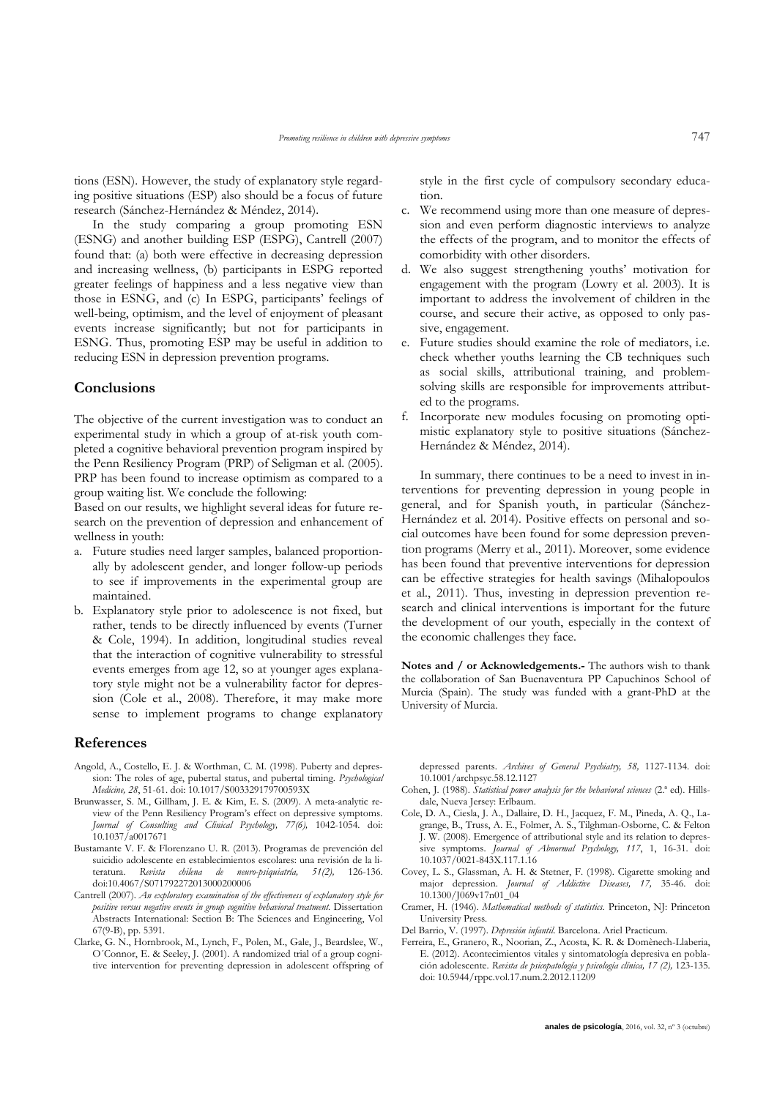tions (ESN). However, the study of explanatory style regarding positive situations (ESP) also should be a focus of future research (Sánchez-Hernández & Méndez, 2014).

In the study comparing a group promoting ESN (ESNG) and another building ESP (ESPG), Cantrell (2007) found that: (a) both were effective in decreasing depression and increasing wellness, (b) participants in ESPG reported greater feelings of happiness and a less negative view than those in ESNG, and (c) In ESPG, participants' feelings of well-being, optimism, and the level of enjoyment of pleasant events increase significantly; but not for participants in ESNG. Thus, promoting ESP may be useful in addition to reducing ESN in depression prevention programs.

### **Conclusions**

The objective of the current investigation was to conduct an experimental study in which a group of at-risk youth completed a cognitive behavioral prevention program inspired by the Penn Resiliency Program (PRP) of Seligman et al. (2005). PRP has been found to increase optimism as compared to a group waiting list. We conclude the following:

Based on our results, we highlight several ideas for future research on the prevention of depression and enhancement of wellness in youth:

- a. Future studies need larger samples, balanced proportionally by adolescent gender, and longer follow-up periods to see if improvements in the experimental group are maintained.
- b. Explanatory style prior to adolescence is not fixed, but rather, tends to be directly influenced by events (Turner & Cole, 1994). In addition, longitudinal studies reveal that the interaction of cognitive vulnerability to stressful events emerges from age 12, so at younger ages explanatory style might not be a vulnerability factor for depression (Cole et al., 2008). Therefore, it may make more sense to implement programs to change explanatory

#### **References**

- Angold, A., Costello, E. J. & Worthman, C. M. (1998). Puberty and depression: The roles of age, pubertal status, and pubertal timing. *Psychological Medicine, 28*, 51-61. doi: 10.1017/S003329179700593X
- Brunwasser, S. M., Gillham, J. E. & Kim, E. S. (2009). A meta-analytic review of the Penn Resiliency Program's effect on depressive symptoms. *Journal of Consulting and Clinical Psychology, 77(6),* 1042-1054. doi: 10.1037/a0017671
- Bustamante V. F. & Florenzano U. R. (2013). Programas de prevención del suicidio adolescente en establecimientos escolares: una revisión de la literatura. *Revista chilena de neuro-psiquiatría, 51(2),* 126-136. doi:10.4067/S071792272013000200006
- Cantrell (2007). *An exploratory examination of the effectiveness of explanatory style for positive versus negative events in group cognitive behavioral treatment.* Dissertation Abstracts International: Section B: The Sciences and Engineering, Vol 67(9-B), pp. 5391.
- Clarke, G. N., Hornbrook, M., Lynch, F., Polen, M., Gale, J., Beardslee, W., O´Connor, E. & Seeley, J. (2001). A randomized trial of a group cognitive intervention for preventing depression in adolescent offspring of

style in the first cycle of compulsory secondary education.

- c. We recommend using more than one measure of depression and even perform diagnostic interviews to analyze the effects of the program, and to monitor the effects of comorbidity with other disorders.
- d. We also suggest strengthening youths' motivation for engagement with the program (Lowry et al. 2003). It is important to address the involvement of children in the course, and secure their active, as opposed to only passive, engagement.
- e. Future studies should examine the role of mediators, i.e. check whether youths learning the CB techniques such as social skills, attributional training, and problemsolving skills are responsible for improvements attributed to the programs.
- f. Incorporate new modules focusing on promoting optimistic explanatory style to positive situations (Sánchez-Hernández & Méndez, 2014).

In summary, there continues to be a need to invest in interventions for preventing depression in young people in general, and for Spanish youth, in particular (Sánchez-Hernández et al. 2014). Positive effects on personal and social outcomes have been found for some depression prevention programs (Merry et al., 2011). Moreover, some evidence has been found that preventive interventions for depression can be effective strategies for health savings (Mihalopoulos et al., 2011). Thus, investing in depression prevention research and clinical interventions is important for the future the development of our youth, especially in the context of the economic challenges they face.

**Notes and / or Acknowledgements.-** The authors wish to thank the collaboration of San Buenaventura PP Capuchinos School of Murcia (Spain). The study was funded with a grant-PhD at the University of Murcia.

depressed parents. *Archives of General Psychiatry, 58,* 1127-1134. doi: 10.1001/archpsyc.58.12.1127

- Cohen, J. (1988). *Statistical power analysis for the behavioral sciences* (2.ª ed). Hillsdale, Nueva Jersey: Erlbaum.
- Cole, D. A., Ciesla, J. A., Dallaire, D. H., Jacquez, F. M., Pineda, A. Q., Lagrange, B., Truss, A. E., Folmer, A. S., Tilghman-Osborne, C. & Felton J. W. (2008). Emergence of attributional style and its relation to depressive symptoms. *Journal of Abnormal Psychology, 117*, 1, 16-31. doi: 10.1037/0021-843X.117.1.16
- Covey, L. S., Glassman, A. H. & Stetner, F. (1998). Cigarette smoking and major depression. *Journal of Addictive Diseases, 17,* 35-46. doi: 10.1300/J069v17n01\_04
- Cramer, H. (1946). *Mathematical methods of statistics.* Princeton, NJ: Princeton University Press.
- Del Barrio, V. (1997). *Depresión infantil*. Barcelona. Ariel Practicum.
- Ferreira, E., Granero, R., Noorian, Z., Acosta, K. R. & Domènech-Llaberia, E. (2012). Acontecimientos vitales y sintomatología depresiva en población adolescente. *Revista de psicopatología y psicología clínica, 17 (2),* 123-135. doi: 10.5944/rppc.vol.17.num.2.2012.11209